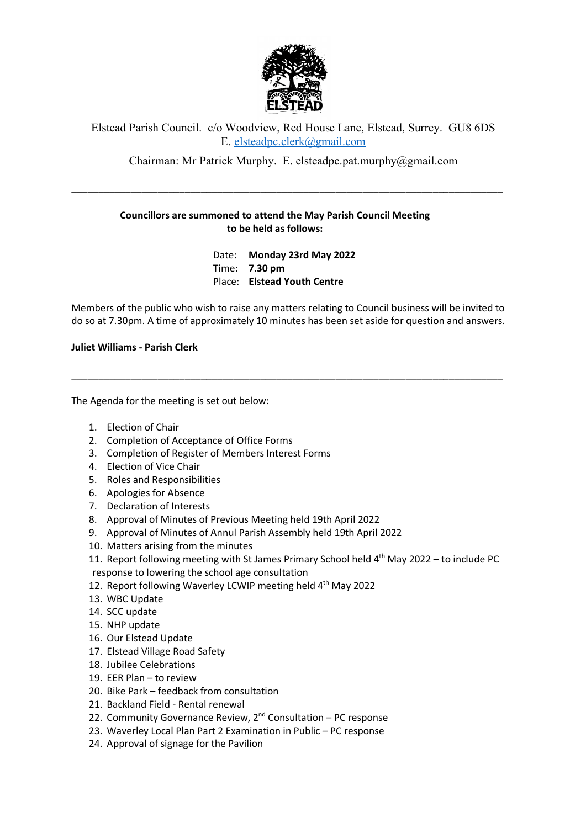

## Elstead Parish Council. c/o Woodview, Red House Lane, Elstead, Surrey. GU8 6DS E. elsteadpc.clerk@gmail.com

Chairman: Mr Patrick Murphy. E. elsteadpc.pat.murphy@gmail.com

\_\_\_\_\_\_\_\_\_\_\_\_\_\_\_\_\_\_\_\_\_\_\_\_\_\_\_\_\_\_\_\_\_\_\_\_\_\_\_\_\_\_\_\_\_\_\_\_\_\_\_\_\_\_\_\_\_\_\_\_\_\_\_\_\_\_\_\_\_\_\_\_\_\_\_\_\_\_\_\_

## **Councillors are summoned to attend the May Parish Council Meeting to be held as follows:**

Date: **Monday 23rd May 2022** Time: **7.30 pm** Place: **Elstead Youth Centre**

Members of the public who wish to raise any matters relating to Council business will be invited to do so at 7.30pm. A time of approximately 10 minutes has been set aside for question and answers.

\_\_\_\_\_\_\_\_\_\_\_\_\_\_\_\_\_\_\_\_\_\_\_\_\_\_\_\_\_\_\_\_\_\_\_\_\_\_\_\_\_\_\_\_\_\_\_\_\_\_\_\_\_\_\_\_\_\_\_\_\_\_\_\_\_\_\_\_\_\_\_\_\_\_\_\_\_\_\_\_

**Juliet Williams - Parish Clerk**

The Agenda for the meeting is set out below:

- 1. Election of Chair
- 2. Completion of Acceptance of Office Forms
- 3. Completion of Register of Members Interest Forms
- 4. Election of Vice Chair
- 5. Roles and Responsibilities
- 6. Apologies for Absence
- 7. Declaration of Interests
- 8. Approval of Minutes of Previous Meeting held 19th April 2022
- 9. Approval of Minutes of Annul Parish Assembly held 19th April 2022
- 10. Matters arising from the minutes
- 11. Report following meeting with St James Primary School held  $4<sup>th</sup>$  May 2022 to include PC response to lowering the school age consultation
- 12. Report following Waverley LCWIP meeting held 4<sup>th</sup> May 2022
- 13. WBC Update
- 14. SCC update
- 15. NHP update
- 16. Our Elstead Update
- 17. Elstead Village Road Safety
- 18. Jubilee Celebrations
- 19. EER Plan to review
- 20. Bike Park feedback from consultation
- 21. Backland Field Rental renewal
- 22. Community Governance Review,  $2<sup>nd</sup>$  Consultation PC response
- 23. Waverley Local Plan Part 2 Examination in Public PC response
- 24. Approval of signage for the Pavilion